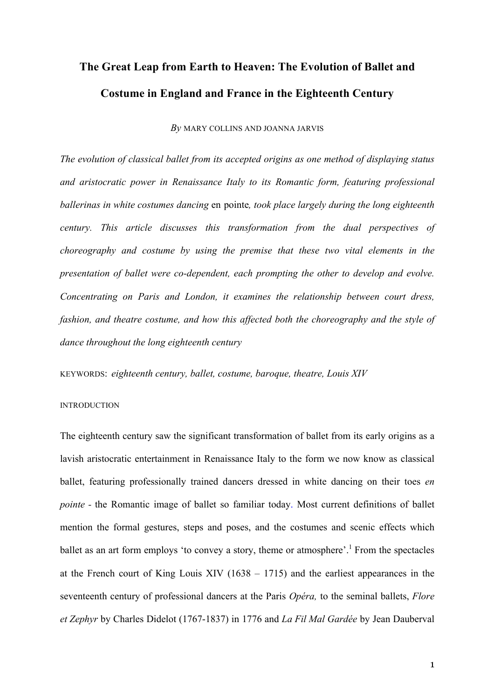# **The Great Leap from Earth to Heaven: The Evolution of Ballet and Costume in England and France in the Eighteenth Century**

*By* MARY COLLINS AND JOANNA JARVIS

*The evolution of classical ballet from its accepted origins as one method of displaying status and aristocratic power in Renaissance Italy to its Romantic form, featuring professional ballerinas in white costumes dancing* en pointe*, took place largely during the long eighteenth century. This article discusses this transformation from the dual perspectives of choreography and costume by using the premise that these two vital elements in the presentation of ballet were co-dependent, each prompting the other to develop and evolve. Concentrating on Paris and London, it examines the relationship between court dress, fashion, and theatre costume, and how this affected both the choreography and the style of dance throughout the long eighteenth century*

KEYWORDS: *eighteenth century, ballet, costume, baroque, theatre, Louis XIV*

### INTRODUCTION

The eighteenth century saw the significant transformation of ballet from its early origins as a lavish aristocratic entertainment in Renaissance Italy to the form we now know as classical ballet, featuring professionally trained dancers dressed in white dancing on their toes *en pointe* - the Romantic image of ballet so familiar today. Most current definitions of ballet mention the formal gestures, steps and poses, and the costumes and scenic effects which ballet as an art form employs 'to convey a story, theme or atmosphere'.<sup>1</sup> From the spectacles at the French court of King Louis XIV (1638 – 1715) and the earliest appearances in the seventeenth century of professional dancers at the Paris *Opéra,* to the seminal ballets, *Flore et Zephyr* by Charles Didelot (1767-1837) in 1776 and *La Fil Mal Gardée* by Jean Dauberval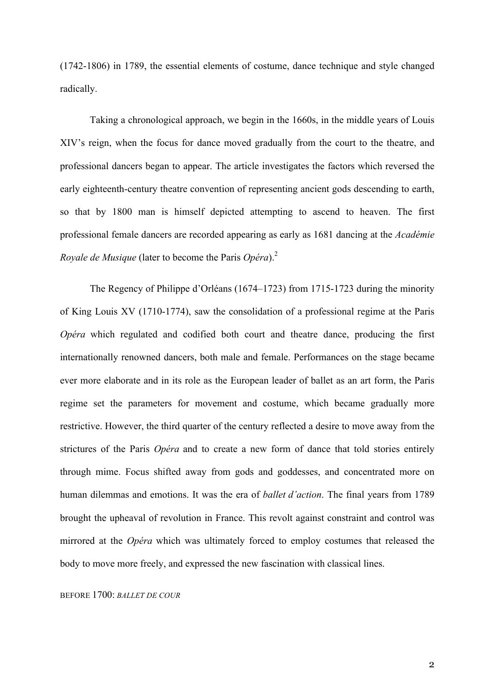(1742-1806) in 1789, the essential elements of costume, dance technique and style changed radically.

Taking a chronological approach, we begin in the 1660s, in the middle years of Louis XIV's reign, when the focus for dance moved gradually from the court to the theatre, and professional dancers began to appear. The article investigates the factors which reversed the early eighteenth-century theatre convention of representing ancient gods descending to earth, so that by 1800 man is himself depicted attempting to ascend to heaven. The first professional female dancers are recorded appearing as early as 1681 dancing at the *Académie Royale de Musique* (later to become the Paris *Opéra*).<sup>2</sup>

The Regency of Philippe d'Orléans (1674–1723) from 1715-1723 during the minority of King Louis XV (1710-1774), saw the consolidation of a professional regime at the Paris *Opéra* which regulated and codified both court and theatre dance, producing the first internationally renowned dancers, both male and female. Performances on the stage became ever more elaborate and in its role as the European leader of ballet as an art form, the Paris regime set the parameters for movement and costume, which became gradually more restrictive. However, the third quarter of the century reflected a desire to move away from the strictures of the Paris *Opéra* and to create a new form of dance that told stories entirely through mime. Focus shifted away from gods and goddesses, and concentrated more on human dilemmas and emotions. It was the era of *ballet d'action*. The final years from 1789 brought the upheaval of revolution in France. This revolt against constraint and control was mirrored at the *Opéra* which was ultimately forced to employ costumes that released the body to move more freely, and expressed the new fascination with classical lines.

BEFORE 1700: *BALLET DE COUR*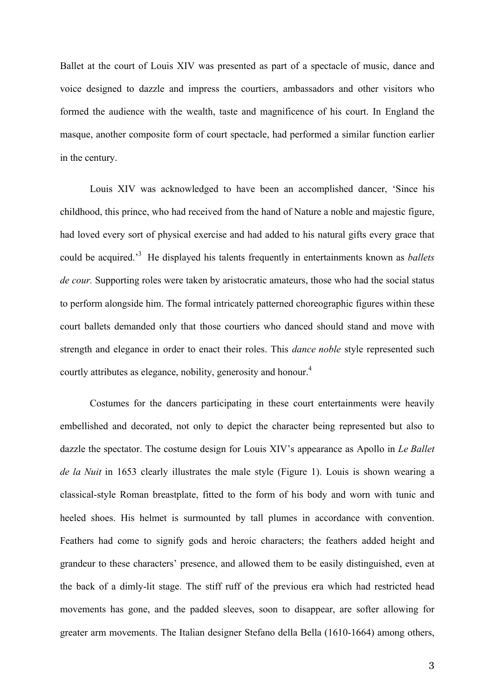Ballet at the court of Louis XIV was presented as part of a spectacle of music, dance and voice designed to dazzle and impress the courtiers, ambassadors and other visitors who formed the audience with the wealth, taste and magnificence of his court. In England the masque, another composite form of court spectacle, had performed a similar function earlier in the century.

Louis XIV was acknowledged to have been an accomplished dancer, 'Since his childhood, this prince, who had received from the hand of Nature a noble and majestic figure, had loved every sort of physical exercise and had added to his natural gifts every grace that could be acquired.' 3 He displayed his talents frequently in entertainments known as *ballets de cour.* Supporting roles were taken by aristocratic amateurs, those who had the social status to perform alongside him. The formal intricately patterned choreographic figures within these court ballets demanded only that those courtiers who danced should stand and move with strength and elegance in order to enact their roles. This *dance noble* style represented such courtly attributes as elegance, nobility, generosity and honour.<sup>4</sup>

Costumes for the dancers participating in these court entertainments were heavily embellished and decorated, not only to depict the character being represented but also to dazzle the spectator. The costume design for Louis XIV's appearance as Apollo in *Le Ballet de la Nuit* in 1653 clearly illustrates the male style (Figure 1). Louis is shown wearing a classical-style Roman breastplate, fitted to the form of his body and worn with tunic and heeled shoes. His helmet is surmounted by tall plumes in accordance with convention. Feathers had come to signify gods and heroic characters; the feathers added height and grandeur to these characters' presence, and allowed them to be easily distinguished, even at the back of a dimly-lit stage. The stiff ruff of the previous era which had restricted head movements has gone, and the padded sleeves, soon to disappear, are softer allowing for greater arm movements. The Italian designer Stefano della Bella (1610-1664) among others,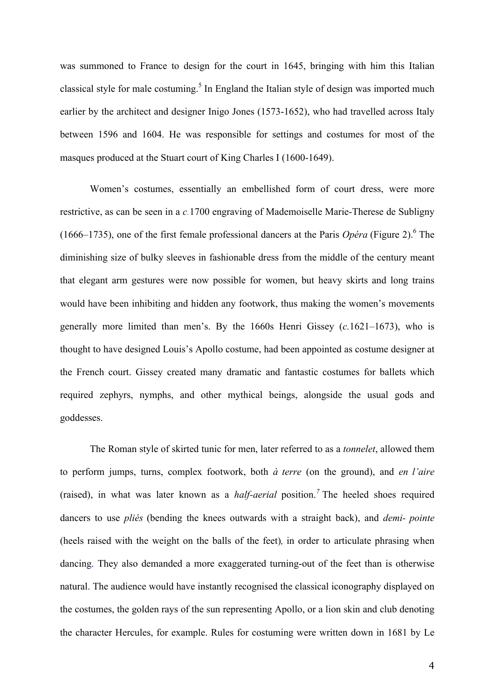was summoned to France to design for the court in 1645, bringing with him this Italian classical style for male costuming.<sup>5</sup> In England the Italian style of design was imported much earlier by the architect and designer Inigo Jones (1573-1652), who had travelled across Italy between 1596 and 1604. He was responsible for settings and costumes for most of the masques produced at the Stuart court of King Charles I (1600-1649).

Women's costumes, essentially an embellished form of court dress, were more restrictive, as can be seen in a *c.*1700 engraving of Mademoiselle Marie-Therese de Subligny (1666–1735), one of the first female professional dancers at the Paris *Opéra* (Figure 2).6 The diminishing size of bulky sleeves in fashionable dress from the middle of the century meant that elegant arm gestures were now possible for women, but heavy skirts and long trains would have been inhibiting and hidden any footwork, thus making the women's movements generally more limited than men's. By the 1660s Henri Gissey (*c.*1621–1673), who is thought to have designed Louis's Apollo costume, had been appointed as costume designer at the French court. Gissey created many dramatic and fantastic costumes for ballets which required zephyrs, nymphs, and other mythical beings, alongside the usual gods and goddesses.

The Roman style of skirted tunic for men, later referred to as a *tonnelet*, allowed them to perform jumps, turns, complex footwork, both *à terre* (on the ground), and *en l'aire* (raised), in what was later known as a *half-aerial* position.*<sup>7</sup>* The heeled shoes required dancers to use *pliés* (bending the knees outwards with a straight back), and *demi- pointe* (heels raised with the weight on the balls of the feet)*,* in order to articulate phrasing when dancing. They also demanded a more exaggerated turning-out of the feet than is otherwise natural. The audience would have instantly recognised the classical iconography displayed on the costumes, the golden rays of the sun representing Apollo, or a lion skin and club denoting the character Hercules, for example. Rules for costuming were written down in 1681 by Le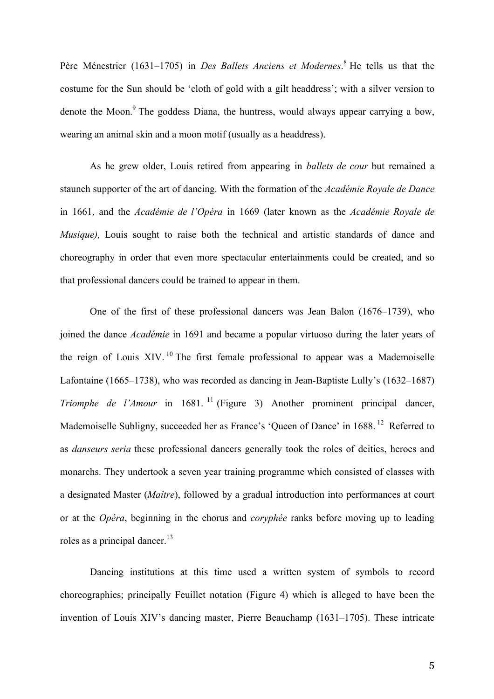Père Ménestrier (1631–1705) in *Des Ballets Anciens et Modernes*. <sup>8</sup> He tells us that the costume for the Sun should be 'cloth of gold with a gilt headdress'; with a silver version to denote the Moon.<sup>9</sup> The goddess Diana, the huntress, would always appear carrying a bow, wearing an animal skin and a moon motif (usually as a headdress).

As he grew older, Louis retired from appearing in *ballets de cour* but remained a staunch supporter of the art of dancing. With the formation of the *Académie Royale de Dance* in 1661, and the *Académie de l'Opéra* in 1669 (later known as the *Académie Royale de Musique*), Louis sought to raise both the technical and artistic standards of dance and choreography in order that even more spectacular entertainments could be created, and so that professional dancers could be trained to appear in them.

One of the first of these professional dancers was Jean Balon (1676–1739), who joined the dance *Académie* in 1691 and became a popular virtuoso during the later years of the reign of Louis XIV.  $^{10}$  The first female professional to appear was a Mademoiselle Lafontaine (1665–1738), who was recorded as dancing in Jean-Baptiste Lully's (1632–1687) *Triomphe de l'Amour* in 1681.<sup>11</sup> (Figure 3) Another prominent principal dancer, Mademoiselle Subligny, succeeded her as France's 'Oueen of Dance' in 1688.<sup>12</sup> Referred to as *danseurs seria* these professional dancers generally took the roles of deities, heroes and monarchs. They undertook a seven year training programme which consisted of classes with a designated Master (*Maître*), followed by a gradual introduction into performances at court or at the *Opéra*, beginning in the chorus and *coryphée* ranks before moving up to leading roles as a principal dancer. $13$ 

Dancing institutions at this time used a written system of symbols to record choreographies; principally Feuillet notation (Figure 4) which is alleged to have been the invention of Louis XIV's dancing master, Pierre Beauchamp (1631–1705). These intricate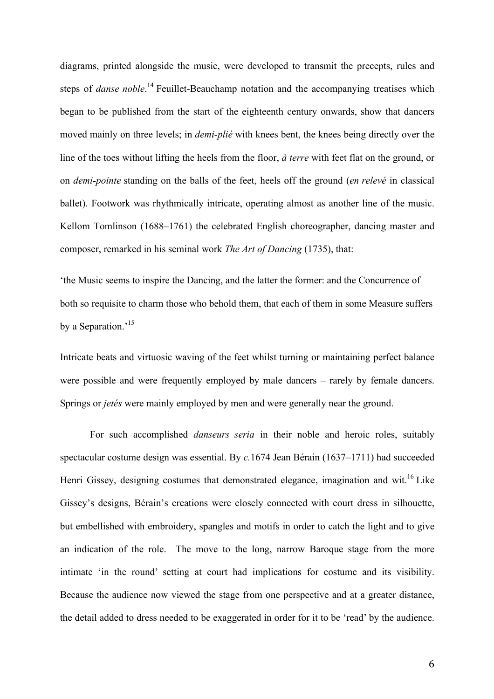diagrams, printed alongside the music, were developed to transmit the precepts, rules and steps of *danse noble*. <sup>14</sup> Feuillet-Beauchamp notation and the accompanying treatises which began to be published from the start of the eighteenth century onwards, show that dancers moved mainly on three levels; in *demi-plié* with knees bent, the knees being directly over the line of the toes without lifting the heels from the floor, *à terre* with feet flat on the ground, or on *demi-pointe* standing on the balls of the feet, heels off the ground (*en relevé* in classical ballet). Footwork was rhythmically intricate, operating almost as another line of the music. Kellom Tomlinson (1688–1761) the celebrated English choreographer, dancing master and composer, remarked in his seminal work *The Art of Dancing* (1735), that:

'the Music seems to inspire the Dancing, and the latter the former: and the Concurrence of both so requisite to charm those who behold them, that each of them in some Measure suffers by a Separation.'<sup>15</sup>

Intricate beats and virtuosic waving of the feet whilst turning or maintaining perfect balance were possible and were frequently employed by male dancers – rarely by female dancers. Springs or *jetés* were mainly employed by men and were generally near the ground.

For such accomplished *danseurs seria* in their noble and heroic roles, suitably spectacular costume design was essential. By *c.*1674 Jean Bérain (1637–1711) had succeeded Henri Gissey, designing costumes that demonstrated elegance, imagination and wit.<sup>16</sup> Like Gissey's designs, Bérain's creations were closely connected with court dress in silhouette, but embellished with embroidery, spangles and motifs in order to catch the light and to give an indication of the role. The move to the long, narrow Baroque stage from the more intimate 'in the round' setting at court had implications for costume and its visibility. Because the audience now viewed the stage from one perspective and at a greater distance, the detail added to dress needed to be exaggerated in order for it to be 'read' by the audience.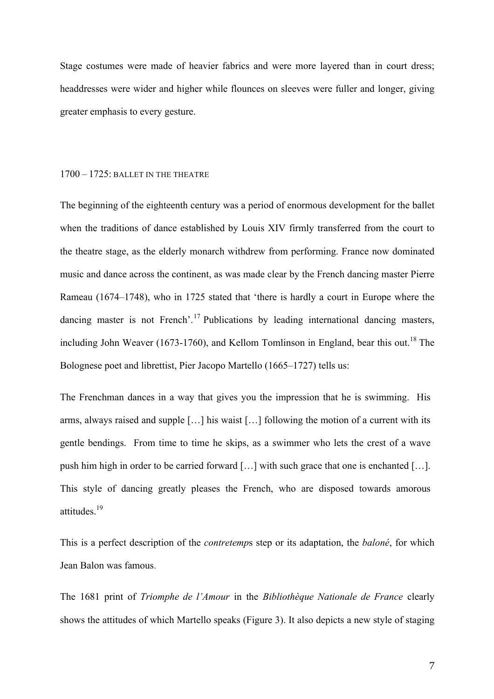Stage costumes were made of heavier fabrics and were more layered than in court dress; headdresses were wider and higher while flounces on sleeves were fuller and longer, giving greater emphasis to every gesture.

#### 1700 – 1725: BALLET IN THE THEATRE

The beginning of the eighteenth century was a period of enormous development for the ballet when the traditions of dance established by Louis XIV firmly transferred from the court to the theatre stage, as the elderly monarch withdrew from performing. France now dominated music and dance across the continent, as was made clear by the French dancing master Pierre Rameau (1674–1748), who in 1725 stated that 'there is hardly a court in Europe where the dancing master is not French'.<sup>17</sup> Publications by leading international dancing masters, including John Weaver (1673-1760), and Kellom Tomlinson in England, bear this out.<sup>18</sup> The Bolognese poet and librettist, Pier Jacopo Martello (1665–1727) tells us:

The Frenchman dances in a way that gives you the impression that he is swimming. His arms, always raised and supple […] his waist […] following the motion of a current with its gentle bendings. From time to time he skips, as a swimmer who lets the crest of a wave push him high in order to be carried forward […] with such grace that one is enchanted […]. This style of dancing greatly pleases the French, who are disposed towards amorous attitudes.<sup>19</sup>

This is a perfect description of the *contretemp*s step or its adaptation, the *baloné*, for which Jean Balon was famous.

The 1681 print of *Triomphe de l'Amour* in the *Bibliothèque Nationale de France* clearly shows the attitudes of which Martello speaks (Figure 3). It also depicts a new style of staging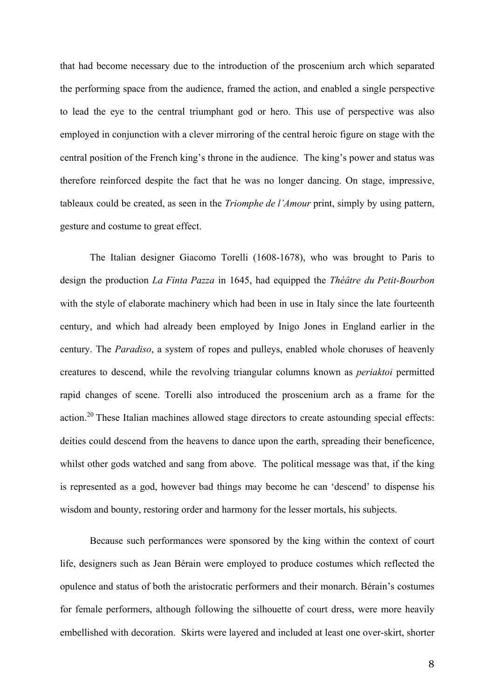that had become necessary due to the introduction of the proscenium arch which separated the performing space from the audience, framed the action, and enabled a single perspective to lead the eye to the central triumphant god or hero. This use of perspective was also employed in conjunction with a clever mirroring of the central heroic figure on stage with the central position of the French king's throne in the audience. The king's power and status was therefore reinforced despite the fact that he was no longer dancing. On stage, impressive, tableaux could be created, as seen in the *Triomphe de l'Amour* print, simply by using pattern, gesture and costume to great effect.

The Italian designer Giacomo Torelli (1608-1678), who was brought to Paris to design the production *La Finta Pazza* in 1645, had equipped the *Théâtre du Petit-Bourbon* with the style of elaborate machinery which had been in use in Italy since the late fourteenth century, and which had already been employed by Inigo Jones in England earlier in the century. The *Paradiso*, a system of ropes and pulleys, enabled whole choruses of heavenly creatures to descend, while the revolving triangular columns known as *periaktoi* permitted rapid changes of scene. Torelli also introduced the proscenium arch as a frame for the action.<sup>20</sup> These Italian machines allowed stage directors to create astounding special effects: deities could descend from the heavens to dance upon the earth, spreading their beneficence, whilst other gods watched and sang from above. The political message was that, if the king is represented as a god, however bad things may become he can 'descend' to dispense his wisdom and bounty, restoring order and harmony for the lesser mortals, his subjects.

Because such performances were sponsored by the king within the context of court life, designers such as Jean Bérain were employed to produce costumes which reflected the opulence and status of both the aristocratic performers and their monarch. Bérain's costumes for female performers, although following the silhouette of court dress, were more heavily embellished with decoration. Skirts were layered and included at least one over-skirt, shorter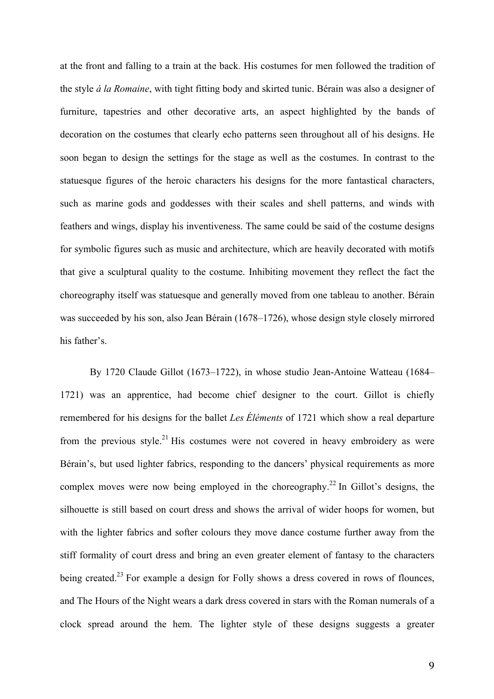at the front and falling to a train at the back. His costumes for men followed the tradition of the style *á la Romaine*, with tight fitting body and skirted tunic. Bérain was also a designer of furniture, tapestries and other decorative arts, an aspect highlighted by the bands of decoration on the costumes that clearly echo patterns seen throughout all of his designs. He soon began to design the settings for the stage as well as the costumes. In contrast to the statuesque figures of the heroic characters his designs for the more fantastical characters, such as marine gods and goddesses with their scales and shell patterns, and winds with feathers and wings, display his inventiveness. The same could be said of the costume designs for symbolic figures such as music and architecture, which are heavily decorated with motifs that give a sculptural quality to the costume. Inhibiting movement they reflect the fact the choreography itself was statuesque and generally moved from one tableau to another. Bérain was succeeded by his son, also Jean Bérain (1678–1726), whose design style closely mirrored his father's.

By 1720 Claude Gillot (1673–1722), in whose studio Jean-Antoine Watteau (1684– 1721) was an apprentice, had become chief designer to the court. Gillot is chiefly remembered for his designs for the ballet *Les Éléments* of 1721 which show a real departure from the previous style.<sup>21</sup> His costumes were not covered in heavy embroidery as were Bérain's, but used lighter fabrics, responding to the dancers' physical requirements as more complex moves were now being employed in the choreography.<sup>22</sup> In Gillot's designs, the silhouette is still based on court dress and shows the arrival of wider hoops for women, but with the lighter fabrics and softer colours they move dance costume further away from the stiff formality of court dress and bring an even greater element of fantasy to the characters being created.<sup>23</sup> For example a design for Folly shows a dress covered in rows of flounces, and The Hours of the Night wears a dark dress covered in stars with the Roman numerals of a clock spread around the hem. The lighter style of these designs suggests a greater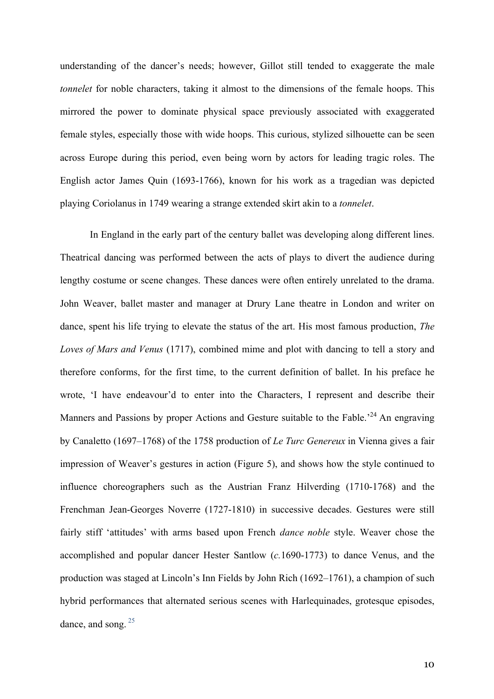understanding of the dancer's needs; however, Gillot still tended to exaggerate the male *tonnelet* for noble characters, taking it almost to the dimensions of the female hoops. This mirrored the power to dominate physical space previously associated with exaggerated female styles, especially those with wide hoops. This curious, stylized silhouette can be seen across Europe during this period, even being worn by actors for leading tragic roles. The English actor James Quin (1693-1766), known for his work as a tragedian was depicted playing Coriolanus in 1749 wearing a strange extended skirt akin to a *tonnelet*.

In England in the early part of the century ballet was developing along different lines. Theatrical dancing was performed between the acts of plays to divert the audience during lengthy costume or scene changes. These dances were often entirely unrelated to the drama. John Weaver, ballet master and manager at Drury Lane theatre in London and writer on dance, spent his life trying to elevate the status of the art. His most famous production, *The Loves of Mars and Venus* (1717), combined mime and plot with dancing to tell a story and therefore conforms, for the first time, to the current definition of ballet. In his preface he wrote, 'I have endeavour'd to enter into the Characters, I represent and describe their Manners and Passions by proper Actions and Gesture suitable to the Fable.<sup>24</sup> An engraving by Canaletto (1697–1768) of the 1758 production of *Le Turc Genereux* in Vienna gives a fair impression of Weaver's gestures in action (Figure 5), and shows how the style continued to influence choreographers such as the Austrian Franz Hilverding (1710-1768) and the Frenchman Jean-Georges Noverre (1727-1810) in successive decades. Gestures were still fairly stiff 'attitudes' with arms based upon French *dance noble* style. Weaver chose the accomplished and popular dancer Hester Santlow (*c.*1690-1773) to dance Venus, and the production was staged at Lincoln's Inn Fields by John Rich (1692–1761), a champion of such hybrid performances that alternated serious scenes with Harlequinades, grotesque episodes, dance, and song.<sup>25</sup>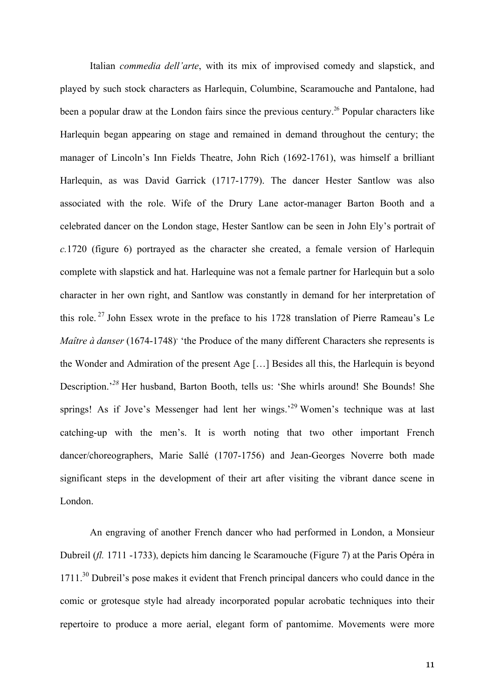Italian *commedia dell'arte*, with its mix of improvised comedy and slapstick, and played by such stock characters as Harlequin, Columbine, Scaramouche and Pantalone, had been a popular draw at the London fairs since the previous century.<sup>26</sup> Popular characters like Harlequin began appearing on stage and remained in demand throughout the century; the manager of Lincoln's Inn Fields Theatre, John Rich (1692-1761), was himself a brilliant Harlequin, as was David Garrick (1717-1779). The dancer Hester Santlow was also associated with the role. Wife of the Drury Lane actor-manager Barton Booth and a celebrated dancer on the London stage, Hester Santlow can be seen in John Ely's portrait of *c.*1720 (figure 6) portrayed as the character she created, a female version of Harlequin complete with slapstick and hat. Harlequine was not a female partner for Harlequin but a solo character in her own right, and Santlow was constantly in demand for her interpretation of this role. <sup>27</sup> John Essex wrote in the preface to his 1728 translation of Pierre Rameau's Le *Maître à danser* (1674-1748)<sup>*'*</sup> the Produce of the many different Characters she represents is the Wonder and Admiration of the present Age […] Besides all this, the Harlequin is beyond Description.<sup>28</sup> Her husband, Barton Booth, tells us: 'She whirls around! She Bounds! She springs! As if Jove's Messenger had lent her wings.<sup>29</sup> Women's technique was at last catching-up with the men's. It is worth noting that two other important French dancer/choreographers, Marie Sallé (1707-1756) and Jean-Georges Noverre both made significant steps in the development of their art after visiting the vibrant dance scene in London.

An engraving of another French dancer who had performed in London, a Monsieur Dubreil (*fl.* 1711 -1733), depicts him dancing le Scaramouche (Figure 7) at the Paris Opéra in 1711.<sup>30</sup> Dubreil's pose makes it evident that French principal dancers who could dance in the comic or grotesque style had already incorporated popular acrobatic techniques into their repertoire to produce a more aerial, elegant form of pantomime. Movements were more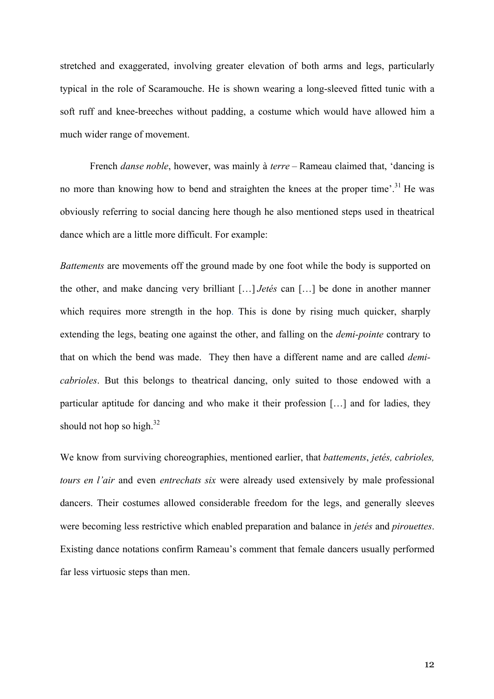stretched and exaggerated, involving greater elevation of both arms and legs, particularly typical in the role of Scaramouche. He is shown wearing a long-sleeved fitted tunic with a soft ruff and knee-breeches without padding, a costume which would have allowed him a much wider range of movement.

French *danse noble*, however, was mainly à *terre* – Rameau claimed that, 'dancing is no more than knowing how to bend and straighten the knees at the proper time'.<sup>31</sup> He was obviously referring to social dancing here though he also mentioned steps used in theatrical dance which are a little more difficult. For example:

*Battements* are movements off the ground made by one foot while the body is supported on the other, and make dancing very brilliant […] *Jetés* can […] be done in another manner which requires more strength in the hop. This is done by rising much quicker, sharply extending the legs, beating one against the other, and falling on the *demi-pointe* contrary to that on which the bend was made. They then have a different name and are called *demicabrioles*. But this belongs to theatrical dancing, only suited to those endowed with a particular aptitude for dancing and who make it their profession […] and for ladies, they should not hop so high. $32$ 

We know from surviving choreographies, mentioned earlier, that *battements*, *jetés, cabrioles, tours en l'air* and even *entrechats six* were already used extensively by male professional dancers. Their costumes allowed considerable freedom for the legs, and generally sleeves were becoming less restrictive which enabled preparation and balance in *jetés* and *pirouettes*. Existing dance notations confirm Rameau's comment that female dancers usually performed far less virtuosic steps than men.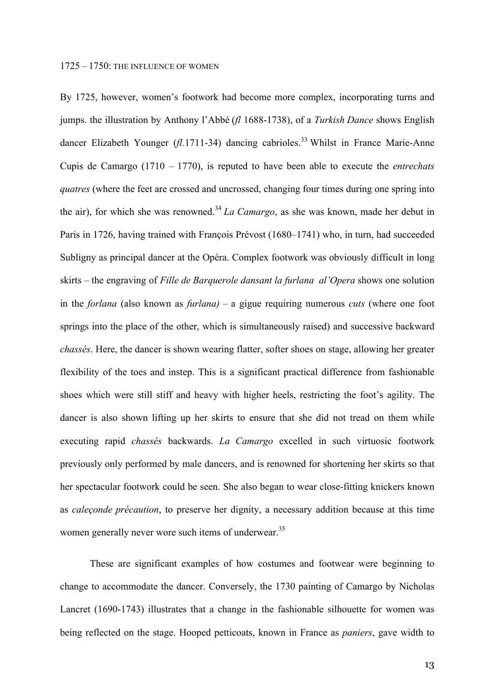By 1725, however, women's footwork had become more complex, incorporating turns and jumps. the illustration by Anthony l'Abbé (*fl* 1688-1738), of a *Turkish Dance* shows English dancer Elizabeth Younger (*fl.*1711-34) dancing cabrioles. <sup>33</sup> Whilst in France Marie-Anne Cupis de Camargo (1710 – 1770), is reputed to have been able to execute the *entrechats quatres* (where the feet are crossed and uncrossed, changing four times during one spring into the air), for which she was renowned.<sup>34</sup> *La Camargo*, as she was known, made her debut in Paris in 1726, having trained with François Prévost (1680–1741) who, in turn, had succeeded Subligny as principal dancer at the Opéra. Complex footwork was obviously difficult in long skirts – the engraving of *Fille de Barquerole dansant la furlana al'Opera* shows one solution in the *forlana* (also known as *furlana)* – a gigue requiring numerous *cuts* (where one foot springs into the place of the other, which is simultaneously raised) and successive backward *chassés*. Here, the dancer is shown wearing flatter, softer shoes on stage, allowing her greater flexibility of the toes and instep. This is a significant practical difference from fashionable shoes which were still stiff and heavy with higher heels, restricting the foot's agility. The dancer is also shown lifting up her skirts to ensure that she did not tread on them while executing rapid *chassés* backwards. *La Camargo* excelled in such virtuosic footwork previously only performed by male dancers, and is renowned for shortening her skirts so that her spectacular footwork could be seen. She also began to wear close-fitting knickers known as *caleçonde précaution*, to preserve her dignity, a necessary addition because at this time women generally never wore such items of underwear.<sup>35</sup>

These are significant examples of how costumes and footwear were beginning to change to accommodate the dancer. Conversely, the 1730 painting of Camargo by Nicholas Lancret (1690-1743) illustrates that a change in the fashionable silhouette for women was being reflected on the stage. Hooped petticoats, known in France as *paniers*, gave width to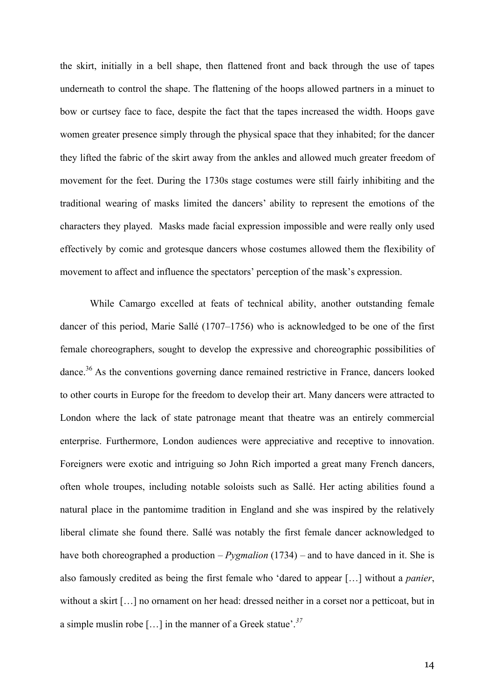the skirt, initially in a bell shape, then flattened front and back through the use of tapes underneath to control the shape. The flattening of the hoops allowed partners in a minuet to bow or curtsey face to face, despite the fact that the tapes increased the width. Hoops gave women greater presence simply through the physical space that they inhabited; for the dancer they lifted the fabric of the skirt away from the ankles and allowed much greater freedom of movement for the feet. During the 1730s stage costumes were still fairly inhibiting and the traditional wearing of masks limited the dancers' ability to represent the emotions of the characters they played. Masks made facial expression impossible and were really only used effectively by comic and grotesque dancers whose costumes allowed them the flexibility of movement to affect and influence the spectators' perception of the mask's expression.

While Camargo excelled at feats of technical ability, another outstanding female dancer of this period, Marie Sallé (1707–1756) who is acknowledged to be one of the first female choreographers, sought to develop the expressive and choreographic possibilities of dance.<sup>36</sup> As the conventions governing dance remained restrictive in France, dancers looked to other courts in Europe for the freedom to develop their art. Many dancers were attracted to London where the lack of state patronage meant that theatre was an entirely commercial enterprise. Furthermore, London audiences were appreciative and receptive to innovation. Foreigners were exotic and intriguing so John Rich imported a great many French dancers, often whole troupes, including notable soloists such as Sallé. Her acting abilities found a natural place in the pantomime tradition in England and she was inspired by the relatively liberal climate she found there. Sallé was notably the first female dancer acknowledged to have both choreographed a production – *Pygmalion* (1734) – and to have danced in it. She is also famously credited as being the first female who 'dared to appear […] without a *panier*, without a skirt […] no ornament on her head: dressed neither in a corset nor a petticoat, but in a simple muslin robe […] in the manner of a Greek statue'. *37*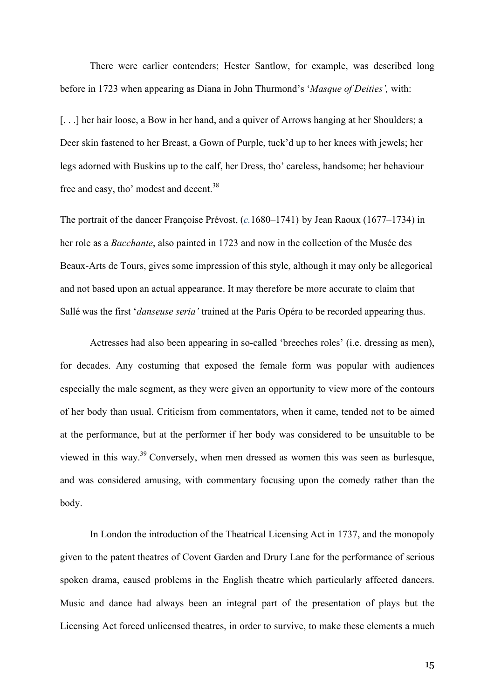There were earlier contenders; Hester Santlow, for example, was described long before in 1723 when appearing as Diana in John Thurmond's '*Masque of Deities',* with:

[...] her hair loose, a Bow in her hand, and a quiver of Arrows hanging at her Shoulders; a Deer skin fastened to her Breast, a Gown of Purple, tuck'd up to her knees with jewels; her legs adorned with Buskins up to the calf, her Dress, tho' careless, handsome; her behaviour free and easy, tho' modest and decent.<sup>38</sup>

The portrait of the dancer Françoise Prévost, (*c.*1680–1741) by Jean Raoux (1677–1734) in her role as a *Bacchante*, also painted in 1723 and now in the collection of the Musée des Beaux-Arts de Tours, gives some impression of this style, although it may only be allegorical and not based upon an actual appearance. It may therefore be more accurate to claim that Sallé was the first '*danseuse seria'* trained at the Paris Opéra to be recorded appearing thus.

Actresses had also been appearing in so-called 'breeches roles' (i.e. dressing as men), for decades. Any costuming that exposed the female form was popular with audiences especially the male segment, as they were given an opportunity to view more of the contours of her body than usual. Criticism from commentators, when it came, tended not to be aimed at the performance, but at the performer if her body was considered to be unsuitable to be viewed in this way.39 Conversely, when men dressed as women this was seen as burlesque, and was considered amusing, with commentary focusing upon the comedy rather than the body.

In London the introduction of the Theatrical Licensing Act in 1737, and the monopoly given to the patent theatres of Covent Garden and Drury Lane for the performance of serious spoken drama, caused problems in the English theatre which particularly affected dancers. Music and dance had always been an integral part of the presentation of plays but the Licensing Act forced unlicensed theatres, in order to survive, to make these elements a much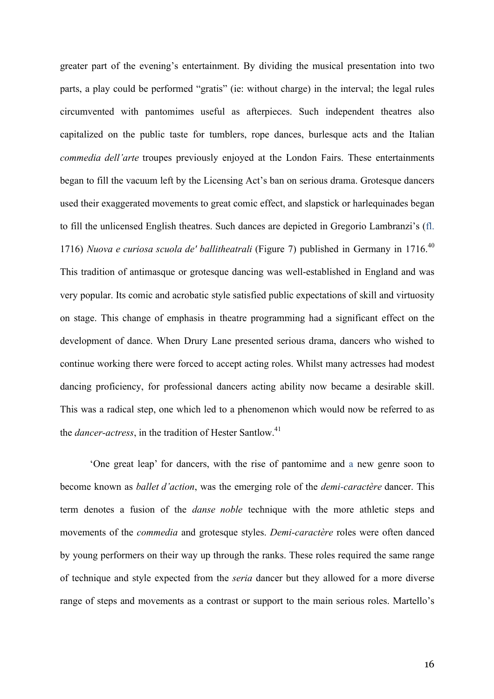greater part of the evening's entertainment. By dividing the musical presentation into two parts, a play could be performed "gratis" (ie: without charge) in the interval; the legal rules circumvented with pantomimes useful as afterpieces. Such independent theatres also capitalized on the public taste for tumblers, rope dances, burlesque acts and the Italian *commedia dell'arte* troupes previously enjoyed at the London Fairs. These entertainments began to fill the vacuum left by the Licensing Act's ban on serious drama. Grotesque dancers used their exaggerated movements to great comic effect, and slapstick or harlequinades began to fill the unlicensed English theatres. Such dances are depicted in Gregorio Lambranzi's (fl. 1716) *Nuova e curiosa scuola de' ballitheatrali* (Figure 7) published in Germany in 1716.<sup>40</sup> This tradition of antimasque or grotesque dancing was well-established in England and was very popular. Its comic and acrobatic style satisfied public expectations of skill and virtuosity on stage. This change of emphasis in theatre programming had a significant effect on the development of dance. When Drury Lane presented serious drama, dancers who wished to continue working there were forced to accept acting roles. Whilst many actresses had modest dancing proficiency, for professional dancers acting ability now became a desirable skill. This was a radical step, one which led to a phenomenon which would now be referred to as the *dancer-actress*, in the tradition of Hester Santlow.<sup>41</sup>

'One great leap' for dancers, with the rise of pantomime and a new genre soon to become known as *ballet d'action*, was the emerging role of the *demi-caractère* dancer. This term denotes a fusion of the *danse noble* technique with the more athletic steps and movements of the *commedia* and grotesque styles. *Demi-caractère* roles were often danced by young performers on their way up through the ranks. These roles required the same range of technique and style expected from the *seria* dancer but they allowed for a more diverse range of steps and movements as a contrast or support to the main serious roles. Martello's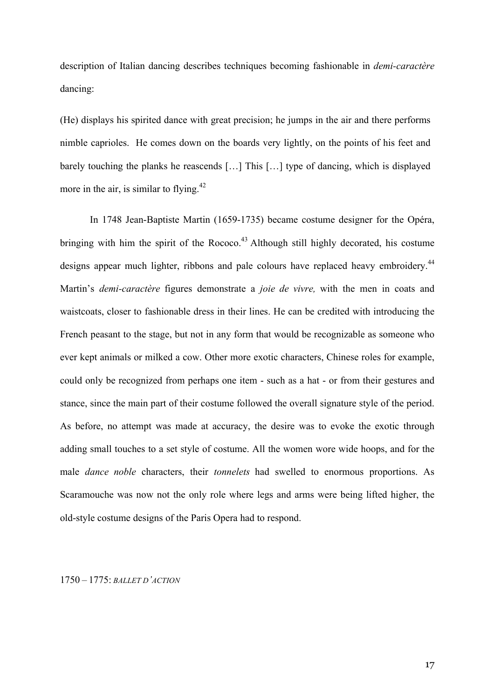description of Italian dancing describes techniques becoming fashionable in *demi-caractère* dancing:

(He) displays his spirited dance with great precision; he jumps in the air and there performs nimble caprioles. He comes down on the boards very lightly, on the points of his feet and barely touching the planks he reascends […] This […] type of dancing, which is displayed more in the air, is similar to flying. $42$ 

In 1748 Jean-Baptiste Martin (1659-1735) became costume designer for the Opéra, bringing with him the spirit of the Rococo.<sup>43</sup> Although still highly decorated, his costume designs appear much lighter, ribbons and pale colours have replaced heavy embroidery.<sup>44</sup> Martin's *demi-caractère* figures demonstrate a *joie de vivre,* with the men in coats and waistcoats, closer to fashionable dress in their lines. He can be credited with introducing the French peasant to the stage, but not in any form that would be recognizable as someone who ever kept animals or milked a cow. Other more exotic characters, Chinese roles for example, could only be recognized from perhaps one item - such as a hat - or from their gestures and stance, since the main part of their costume followed the overall signature style of the period. As before, no attempt was made at accuracy, the desire was to evoke the exotic through adding small touches to a set style of costume. All the women wore wide hoops, and for the male *dance noble* characters, their *tonnelets* had swelled to enormous proportions. As Scaramouche was now not the only role where legs and arms were being lifted higher, the old-style costume designs of the Paris Opera had to respond.

## 1750 – 1775: *BALLET D'ACTION*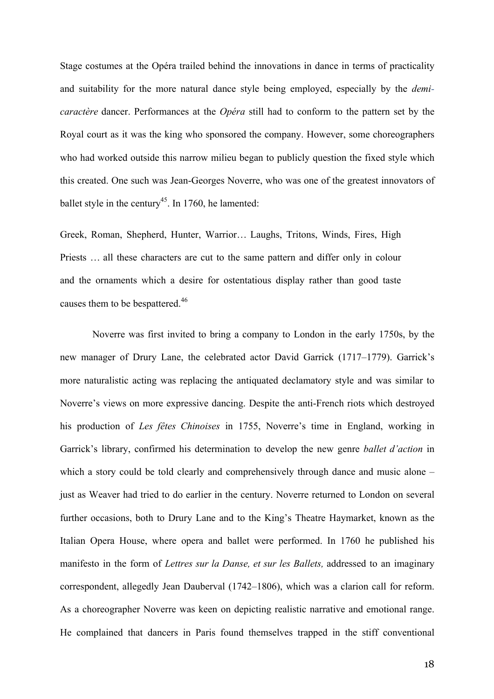Stage costumes at the Opéra trailed behind the innovations in dance in terms of practicality and suitability for the more natural dance style being employed, especially by the *demicaractère* dancer. Performances at the *Opéra* still had to conform to the pattern set by the Royal court as it was the king who sponsored the company. However, some choreographers who had worked outside this narrow milieu began to publicly question the fixed style which this created. One such was Jean-Georges Noverre, who was one of the greatest innovators of ballet style in the century<sup>45</sup>. In 1760, he lamented:

Greek, Roman, Shepherd, Hunter, Warrior… Laughs, Tritons, Winds, Fires, High Priests … all these characters are cut to the same pattern and differ only in colour and the ornaments which a desire for ostentatious display rather than good taste causes them to be bespattered.<sup>46</sup>

Noverre was first invited to bring a company to London in the early 1750s, by the new manager of Drury Lane, the celebrated actor David Garrick (1717–1779). Garrick's more naturalistic acting was replacing the antiquated declamatory style and was similar to Noverre's views on more expressive dancing. Despite the anti-French riots which destroyed his production of *Les fêtes Chinoises* in 1755, Noverre's time in England, working in Garrick's library, confirmed his determination to develop the new genre *ballet d'action* in which a story could be told clearly and comprehensively through dance and music alone – just as Weaver had tried to do earlier in the century. Noverre returned to London on several further occasions, both to Drury Lane and to the King's Theatre Haymarket, known as the Italian Opera House, where opera and ballet were performed. In 1760 he published his manifesto in the form of *Lettres sur la Danse, et sur les Ballets,* addressed to an imaginary correspondent, allegedly Jean Dauberval (1742–1806), which was a clarion call for reform. As a choreographer Noverre was keen on depicting realistic narrative and emotional range. He complained that dancers in Paris found themselves trapped in the stiff conventional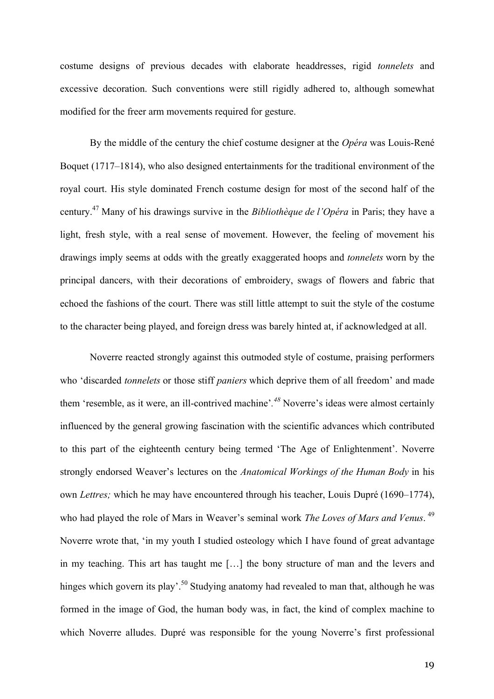costume designs of previous decades with elaborate headdresses, rigid *tonnelets* and excessive decoration. Such conventions were still rigidly adhered to, although somewhat modified for the freer arm movements required for gesture.

By the middle of the century the chief costume designer at the *Opéra* was Louis-René Boquet (1717–1814), who also designed entertainments for the traditional environment of the royal court. His style dominated French costume design for most of the second half of the century.47 Many of his drawings survive in the *Bibliothèque de l'Opéra* in Paris; they have a light, fresh style, with a real sense of movement. However, the feeling of movement his drawings imply seems at odds with the greatly exaggerated hoops and *tonnelets* worn by the principal dancers, with their decorations of embroidery, swags of flowers and fabric that echoed the fashions of the court. There was still little attempt to suit the style of the costume to the character being played, and foreign dress was barely hinted at, if acknowledged at all.

Noverre reacted strongly against this outmoded style of costume, praising performers who 'discarded *tonnelets* or those stiff *paniers* which deprive them of all freedom' and made them 'resemble, as it were, an ill-contrived machine'*. <sup>48</sup>* Noverre's ideas were almost certainly influenced by the general growing fascination with the scientific advances which contributed to this part of the eighteenth century being termed 'The Age of Enlightenment'. Noverre strongly endorsed Weaver's lectures on the *Anatomical Workings of the Human Body* in his own *Lettres;* which he may have encountered through his teacher, Louis Dupré (1690–1774), who had played the role of Mars in Weaver's seminal work *The Loves of Mars and Venus*. <sup>49</sup> Noverre wrote that, 'in my youth I studied osteology which I have found of great advantage in my teaching. This art has taught me […] the bony structure of man and the levers and hinges which govern its play'.<sup>50</sup> Studying anatomy had revealed to man that, although he was formed in the image of God, the human body was, in fact, the kind of complex machine to which Noverre alludes. Dupré was responsible for the young Noverre's first professional

19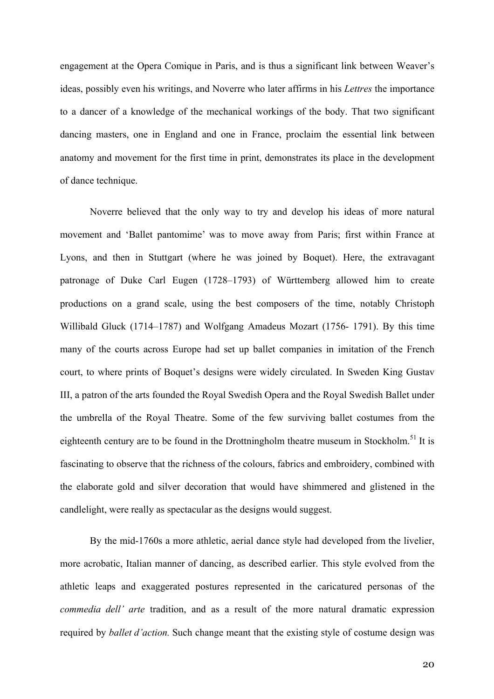engagement at the Opera Comique in Paris, and is thus a significant link between Weaver's ideas, possibly even his writings, and Noverre who later affirms in his *Lettres* the importance to a dancer of a knowledge of the mechanical workings of the body. That two significant dancing masters, one in England and one in France, proclaim the essential link between anatomy and movement for the first time in print, demonstrates its place in the development of dance technique.

Noverre believed that the only way to try and develop his ideas of more natural movement and 'Ballet pantomime' was to move away from Paris; first within France at Lyons, and then in Stuttgart (where he was joined by Boquet). Here, the extravagant patronage of Duke Carl Eugen (1728–1793) of Württemberg allowed him to create productions on a grand scale, using the best composers of the time, notably Christoph Willibald Gluck (1714–1787) and Wolfgang Amadeus Mozart (1756- 1791). By this time many of the courts across Europe had set up ballet companies in imitation of the French court, to where prints of Boquet's designs were widely circulated. In Sweden King Gustav III, a patron of the arts founded the Royal Swedish Opera and the Royal Swedish Ballet under the umbrella of the Royal Theatre. Some of the few surviving ballet costumes from the eighteenth century are to be found in the Drottningholm theatre museum in Stockholm.<sup>51</sup> It is fascinating to observe that the richness of the colours, fabrics and embroidery, combined with the elaborate gold and silver decoration that would have shimmered and glistened in the candlelight, were really as spectacular as the designs would suggest.

By the mid-1760s a more athletic, aerial dance style had developed from the livelier, more acrobatic, Italian manner of dancing, as described earlier. This style evolved from the athletic leaps and exaggerated postures represented in the caricatured personas of the *commedia dell' arte* tradition, and as a result of the more natural dramatic expression required by *ballet d'action.* Such change meant that the existing style of costume design was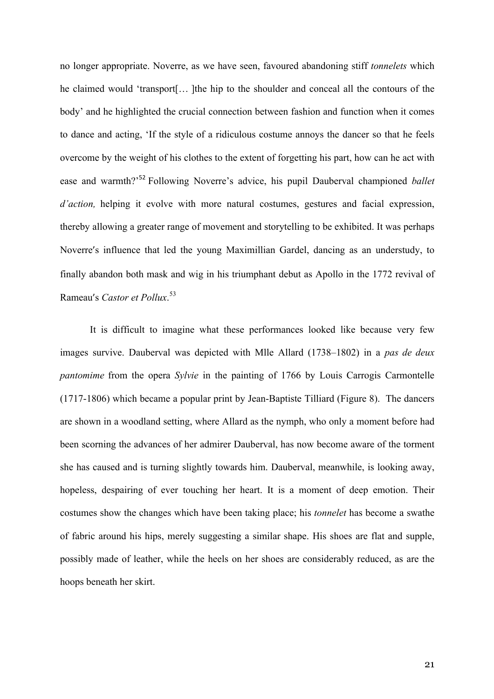no longer appropriate. Noverre, as we have seen, favoured abandoning stiff *tonnelets* which he claimed would 'transport[… ]the hip to the shoulder and conceal all the contours of the body' and he highlighted the crucial connection between fashion and function when it comes to dance and acting, 'If the style of a ridiculous costume annoys the dancer so that he feels overcome by the weight of his clothes to the extent of forgetting his part, how can he act with ease and warmth?' <sup>52</sup> Following Noverre's advice, his pupil Dauberval championed *ballet d'action,* helping it evolve with more natural costumes, gestures and facial expression, thereby allowing a greater range of movement and storytelling to be exhibited. It was perhaps Noverre's influence that led the young Maximillian Gardel, dancing as an understudy, to finally abandon both mask and wig in his triumphant debut as Apollo in the 1772 revival of Rameau's *Castor et Pollux*. 53

It is difficult to imagine what these performances looked like because very few images survive. Dauberval was depicted with Mlle Allard (1738–1802) in a *pas de deux pantomime* from the opera *Sylvie* in the painting of 1766 by Louis Carrogis Carmontelle (1717-1806) which became a popular print by Jean-Baptiste Tilliard (Figure 8). The dancers are shown in a woodland setting, where Allard as the nymph, who only a moment before had been scorning the advances of her admirer Dauberval, has now become aware of the torment she has caused and is turning slightly towards him. Dauberval, meanwhile, is looking away, hopeless, despairing of ever touching her heart. It is a moment of deep emotion. Their costumes show the changes which have been taking place; his *tonnelet* has become a swathe of fabric around his hips, merely suggesting a similar shape. His shoes are flat and supple, possibly made of leather, while the heels on her shoes are considerably reduced, as are the hoops beneath her skirt.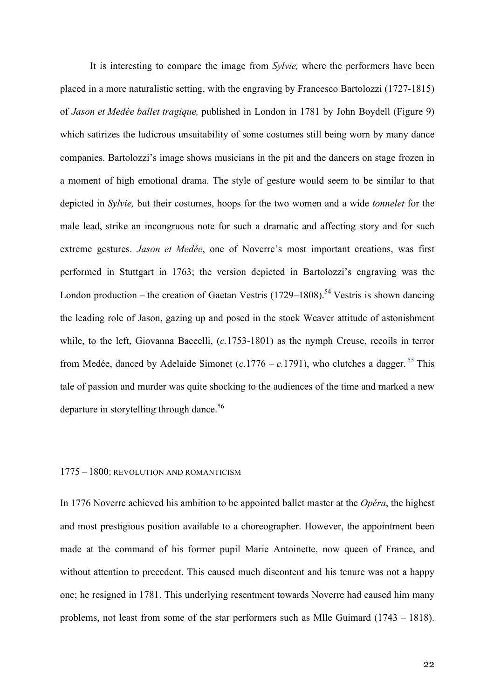It is interesting to compare the image from *Sylvie,* where the performers have been placed in a more naturalistic setting, with the engraving by Francesco Bartolozzi (1727-1815) of *Jason et Medée ballet tragique,* published in London in 1781 by John Boydell (Figure 9) which satirizes the ludicrous unsuitability of some costumes still being worn by many dance companies. Bartolozzi's image shows musicians in the pit and the dancers on stage frozen in a moment of high emotional drama. The style of gesture would seem to be similar to that depicted in *Sylvie,* but their costumes, hoops for the two women and a wide *tonnelet* for the male lead, strike an incongruous note for such a dramatic and affecting story and for such extreme gestures. *Jason et Medée*, one of Noverre's most important creations, was first performed in Stuttgart in 1763; the version depicted in Bartolozzi's engraving was the London production – the creation of Gaetan Vestris (1729–1808).<sup>54</sup> Vestris is shown dancing the leading role of Jason, gazing up and posed in the stock Weaver attitude of astonishment while, to the left, Giovanna Baccelli, (*c.*1753-1801) as the nymph Creuse, recoils in terror from Medée, danced by Adelaide Simonet ( $c$ .1776 –  $c$ .1791), who clutches a dagger. <sup>55</sup> This tale of passion and murder was quite shocking to the audiences of the time and marked a new departure in storytelling through dance.<sup>56</sup>

### 1775 – 1800: REVOLUTION AND ROMANTICISM

In 1776 Noverre achieved his ambition to be appointed ballet master at the *Opéra*, the highest and most prestigious position available to a choreographer. However, the appointment been made at the command of his former pupil Marie Antoinette, now queen of France, and without attention to precedent. This caused much discontent and his tenure was not a happy one; he resigned in 1781. This underlying resentment towards Noverre had caused him many problems, not least from some of the star performers such as Mlle Guimard (1743 – 1818).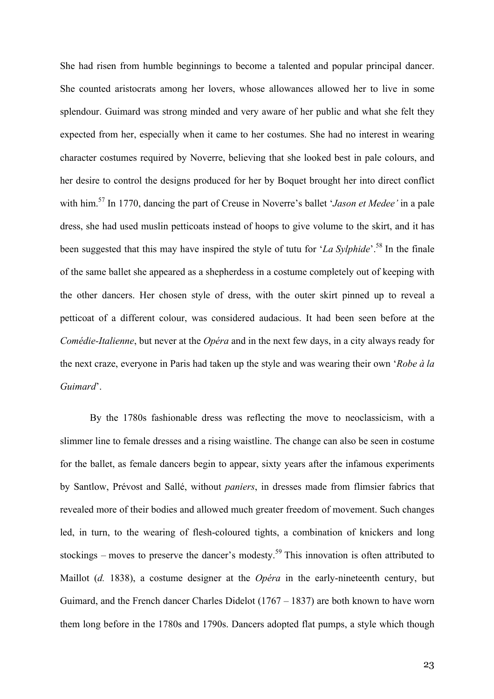She had risen from humble beginnings to become a talented and popular principal dancer. She counted aristocrats among her lovers, whose allowances allowed her to live in some splendour. Guimard was strong minded and very aware of her public and what she felt they expected from her, especially when it came to her costumes. She had no interest in wearing character costumes required by Noverre, believing that she looked best in pale colours, and her desire to control the designs produced for her by Boquet brought her into direct conflict with him.57 In 1770, dancing the part of Creuse in Noverre's ballet '*Jason et Medee'* in a pale dress, she had used muslin petticoats instead of hoops to give volume to the skirt, and it has been suggested that this may have inspired the style of tutu for '*La Sylphide*'. <sup>58</sup> In the finale of the same ballet she appeared as a shepherdess in a costume completely out of keeping with the other dancers. Her chosen style of dress, with the outer skirt pinned up to reveal a petticoat of a different colour, was considered audacious. It had been seen before at the *Comédie-Italienne*, but never at the *Opéra* and in the next few days, in a city always ready for the next craze, everyone in Paris had taken up the style and was wearing their own '*Robe à la Guimard*'.

By the 1780s fashionable dress was reflecting the move to neoclassicism, with a slimmer line to female dresses and a rising waistline. The change can also be seen in costume for the ballet, as female dancers begin to appear, sixty years after the infamous experiments by Santlow, Prévost and Sallé, without *paniers*, in dresses made from flimsier fabrics that revealed more of their bodies and allowed much greater freedom of movement. Such changes led, in turn, to the wearing of flesh-coloured tights, a combination of knickers and long stockings – moves to preserve the dancer's modesty.<sup>59</sup> This innovation is often attributed to Maillot (*d.* 1838), a costume designer at the *Opéra* in the early-nineteenth century, but Guimard, and the French dancer Charles Didelot (1767 – 1837) are both known to have worn them long before in the 1780s and 1790s. Dancers adopted flat pumps, a style which though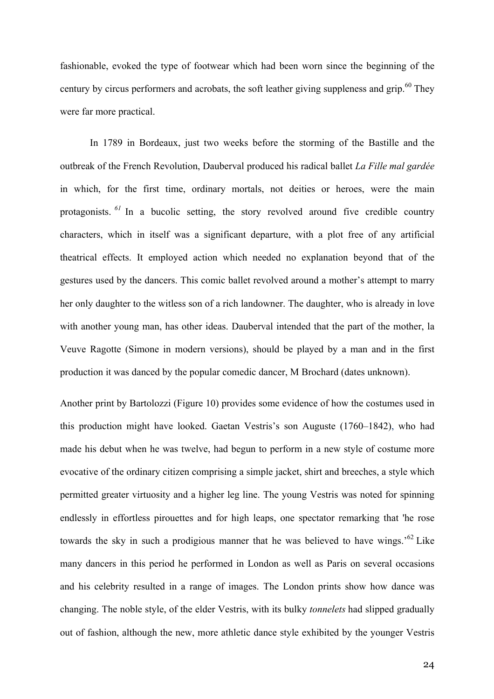fashionable, evoked the type of footwear which had been worn since the beginning of the century by circus performers and acrobats, the soft leather giving suppleness and grip.<sup>60</sup> They were far more practical.

In 1789 in Bordeaux, just two weeks before the storming of the Bastille and the outbreak of the French Revolution, Dauberval produced his radical ballet *La Fille mal gardée* in which, for the first time, ordinary mortals, not deities or heroes, were the main protagonists. <sup>61</sup> In a bucolic setting, the story revolved around five credible country characters, which in itself was a significant departure, with a plot free of any artificial theatrical effects. It employed action which needed no explanation beyond that of the gestures used by the dancers. This comic ballet revolved around a mother's attempt to marry her only daughter to the witless son of a rich landowner. The daughter, who is already in love with another young man, has other ideas. Dauberval intended that the part of the mother, la Veuve Ragotte (Simone in modern versions), should be played by a man and in the first production it was danced by the popular comedic dancer, M Brochard (dates unknown).

Another print by Bartolozzi (Figure 10) provides some evidence of how the costumes used in this production might have looked. Gaetan Vestris's son Auguste (1760–1842), who had made his debut when he was twelve, had begun to perform in a new style of costume more evocative of the ordinary citizen comprising a simple jacket, shirt and breeches, a style which permitted greater virtuosity and a higher leg line. The young Vestris was noted for spinning endlessly in effortless pirouettes and for high leaps, one spectator remarking that 'he rose towards the sky in such a prodigious manner that he was believed to have wings.<sup>562</sup> Like many dancers in this period he performed in London as well as Paris on several occasions and his celebrity resulted in a range of images. The London prints show how dance was changing. The noble style, of the elder Vestris, with its bulky *tonnelets* had slipped gradually out of fashion, although the new, more athletic dance style exhibited by the younger Vestris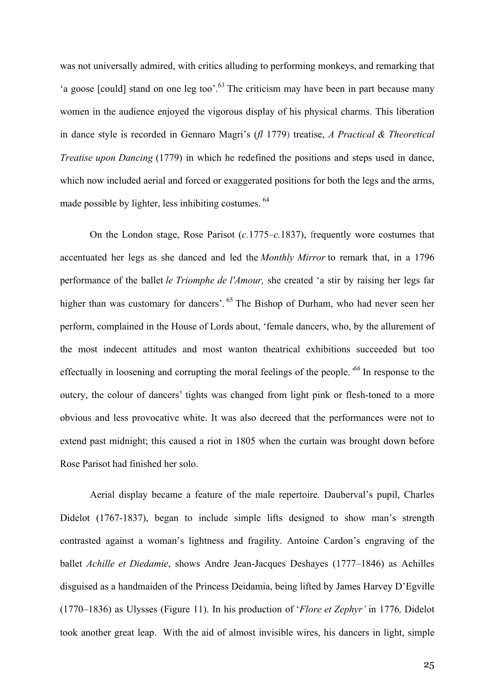was not universally admired, with critics alluding to performing monkeys, and remarking that 'a goose [could] stand on one leg too'.<sup>63</sup> The criticism may have been in part because many women in the audience enjoyed the vigorous display of his physical charms. This liberation in dance style is recorded in Gennaro Magri's (*fl* 1779) treatise, *A Practical & Theoretical Treatise upon Dancing* (1779) in which he redefined the positions and steps used in dance, which now included aerial and forced or exaggerated positions for both the legs and the arms, made possible by lighter, less inhibiting costumes. <sup>64</sup>

On the London stage, Rose Parisot (*c.*1775–*c.*1837), frequently wore costumes that accentuated her legs as she danced and led the *Monthly Mirror* to remark that, in a 1796 performance of the ballet *le Triomphe de l'Amour,* she created 'a stir by raising her legs far higher than was customary for dancers'. <sup>65</sup> The Bishop of Durham, who had never seen her perform, complained in the House of Lords about, 'female dancers, who, by the allurement of the most indecent attitudes and most wanton theatrical exhibitions succeeded but too effectually in loosening and corrupting the moral feelings of the people.*' <sup>66</sup>* In response to the outcry, the colour of dancers' tights was changed from light pink or flesh-toned to a more obvious and less provocative white. It was also decreed that the performances were not to extend past midnight; this caused a riot in 1805 when the curtain was brought down before Rose Parisot had finished her solo.

Aerial display became a feature of the male repertoire. Dauberval's pupil, Charles Didelot (1767-1837), began to include simple lifts designed to show man's strength contrasted against a woman's lightness and fragility. Antoine Cardon's engraving of the ballet *Achille et Diedamie*, shows Andre Jean-Jacques Deshayes (1777–1846) as Achilles disguised as a handmaiden of the Princess Deidamia, being lifted by James Harvey D'Egville (1770–1836) as Ulysses (Figure 11). In his production of '*Flore et Zephyr'* in 1776*,* Didelot took another great leap. With the aid of almost invisible wires, his dancers in light, simple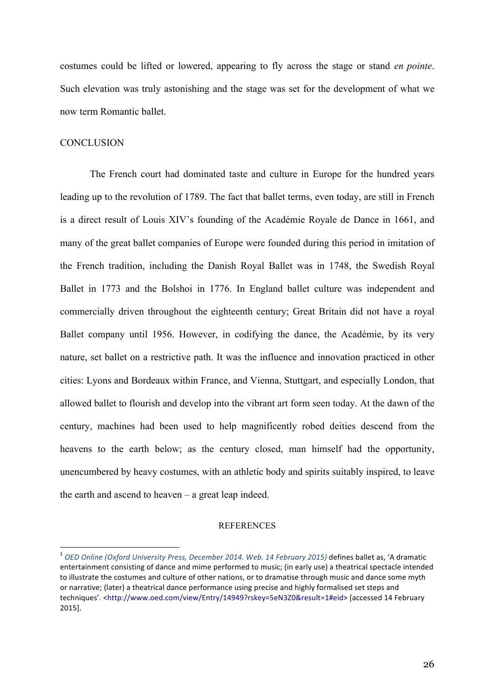costumes could be lifted or lowered, appearing to fly across the stage or stand *en pointe*. Such elevation was truly astonishing and the stage was set for the development of what we now term Romantic ballet.

## **CONCLUSION**

The French court had dominated taste and culture in Europe for the hundred years leading up to the revolution of 1789. The fact that ballet terms, even today, are still in French is a direct result of Louis XIV's founding of the Académie Royale de Dance in 1661, and many of the great ballet companies of Europe were founded during this period in imitation of the French tradition, including the Danish Royal Ballet was in 1748, the Swedish Royal Ballet in 1773 and the Bolshoi in 1776. In England ballet culture was independent and commercially driven throughout the eighteenth century; Great Britain did not have a royal Ballet company until 1956. However, in codifying the dance, the Académie, by its very nature, set ballet on a restrictive path. It was the influence and innovation practiced in other cities: Lyons and Bordeaux within France, and Vienna, Stuttgart, and especially London, that allowed ballet to flourish and develop into the vibrant art form seen today. At the dawn of the century, machines had been used to help magnificently robed deities descend from the heavens to the earth below; as the century closed, man himself had the opportunity, unencumbered by heavy costumes, with an athletic body and spirits suitably inspired, to leave the earth and ascend to heaven – a great leap indeed.

## **REFERENCES**

<sup>1</sup> *OED Online (Oxford University Press, December 2014. Web. <sup>14</sup> February 2015)* defines ballet as, 'A dramatic entertainment consisting of dance and mime performed to music; (in early use) a theatrical spectacle intended to illustrate the costumes and culture of other nations, or to dramatise through music and dance some myth or narrative; (later) a theatrical dance performance using precise and highly formalised set steps and techniques'. <http://www.oed.com/view/Entry/14949?rskey=5eN3Z0&result=1#eid> [accessed 14 February 2015].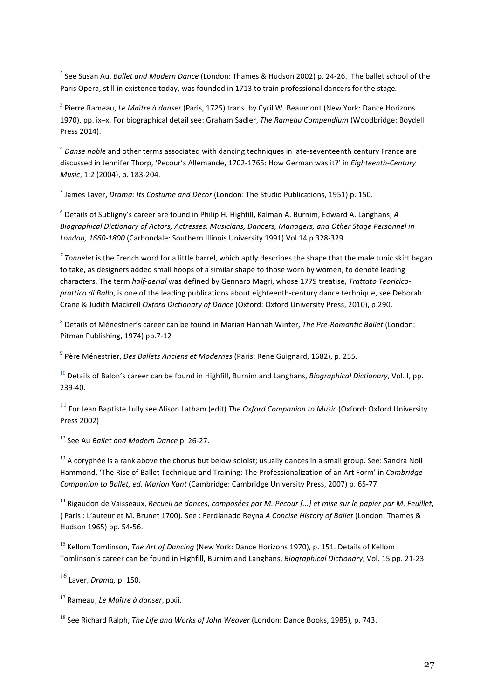2 See Susan Au, *Ballet and Modern Dance* (London: Thames & Hudson 2002) p. 24-26. The ballet school of the Paris Opera, still in existence today, was founded in 1713 to train professional dancers for the stage*.*

<sup>3</sup> Pierre Rameau, *Le Maître à danser* (Paris, 1725) trans. by Cyril W. Beaumont (New York: Dance Horizons 1970), pp. ix–x. For biographical detail see: Graham Sadler, *The Rameau Compendium* (Woodbridge: Boydell Press 2014).

<sup>4</sup> *Danse noble* and other terms associated with dancing techniques in late-seventeenth century France are discussed in Jennifer Thorp, 'Pecour's Allemande, 1702-1765: How German was it?' in *Eighteenth-Century Music*, 1:2 (2004), p. 183-204.

<sup>5</sup> James Laver, *Drama: Its Costume and Décor* (London: The Studio Publications, 1951) p. 150.

<sup>6</sup> Details of Subligny's career are found in Philip H. Highfill, Kalman A. Burnim, Edward A. Langhans, *A Biographical Dictionary of Actors, Actresses, Musicians, Dancers, Managers, and Other Stage Personnel in London, 1660-1800* (Carbondale: Southern Illinois University 1991) Vol 14 p.328-329

*<sup>7</sup> Tonnelet* is the French word for a little barrel, which aptly describes the shape that the male tunic skirt began to take, as designers added small hoops of a similar shape to those worn by women, to denote leading characters. The term *half-aerial* was defined by Gennaro Magri, whose 1779 treatise, *Trattato Teoricicoprattico di Ballo*, is one of the leading publications about eighteenth-century dance technique, see Deborah Crane & Judith Mackrell *Oxford Dictionary of Dance* (Oxford: Oxford University Press, 2010), p.290.

<sup>8</sup> Details of Ménestrier's career can be found in Marian Hannah Winter, *The Pre-Romantic Ballet* (London: Pitman Publishing, 1974) pp.7-12

<sup>9</sup> Père Ménestrier, *Des Ballets Anciens et Modernes* (Paris: Rene Guignard, 1682), p. 255.

<sup>10</sup> Details of Balon's career can be found in Highfill, Burnim and Langhans, *Biographical Dictionary*, Vol. I, pp. 239-40.

<sup>11</sup> For Jean Baptiste Lully see Alison Latham (edit) *The Oxford Companion to Music* (Oxford: Oxford University Press 2002)

<sup>12</sup> See Au *Ballet and Modern Dance* p. 26-27.

 $13$  A corvphée is a rank above the chorus but below soloist; usually dances in a small group. See: Sandra Noll Hammond, 'The Rise of Ballet Technique and Training: The Professionalization of an Art Form' in *Cambridge Companion to Ballet, ed. Marion Kant* (Cambridge: Cambridge University Press, 2007) p. 65-77

 $14$  Rigaudon de Vaisseaux, Recueil de dances, composées par M. Pecour [...] et mise sur le papier par M. Feuillet, ( Paris : L'auteur et M. Brunet 1700). See : Ferdianado Reyna *A Concise History of Ballet* (London: Thames & Hudson 1965) pp. 54-56.

<sup>15</sup> Kellom Tomlinson, *The Art of Dancing* (New York: Dance Horizons 1970), p. 151. Details of Kellom Tomlinson's career can be found in Highfill, Burnim and Langhans, *Biographical Dictionary*, Vol. 15 pp. 21-23.

<sup>16</sup> Laver, *Drama,* p. 150.

<sup>17</sup> Rameau, *Le Maître à danser*, p.xii.

<sup>18</sup> See Richard Ralph, *The Life and Works of John Weaver* (London: Dance Books, 1985), p. 743.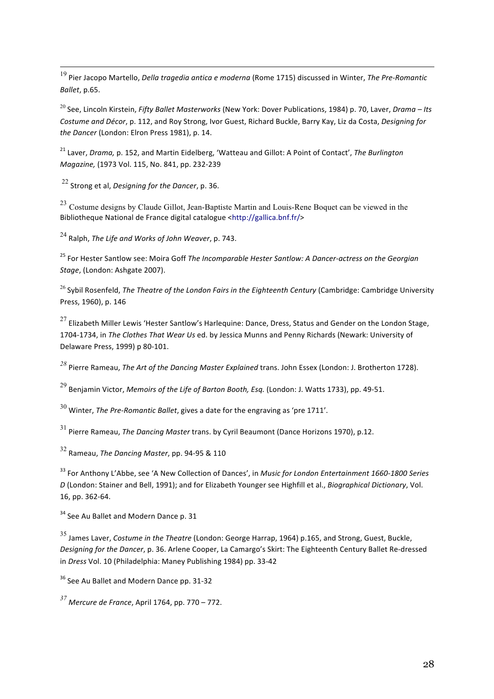19 Pier Jacopo Martello, *Della tragedia antica <sup>e</sup> moderna* (Rome 1715) discussed in Winter, *The Pre-Romantic Ballet*, p.65.

<sup>20</sup> See, Lincoln Kirstein, *Fifty Ballet Masterworks* (New York: Dover Publications, 1984) p. 70, Laver, *Drama – Its Costume and Décor*, p. 112, and Roy Strong, Ivor Guest, Richard Buckle, Barry Kay, Liz da Costa, *Designing for the Dancer* (London: Elron Press 1981), p. 14.

<sup>21</sup> Laver, *Drama,* p. 152, and Martin Eidelberg, 'Watteau and Gillot: A Point of Contact', *The Burlington Magazine,* (1973 Vol. 115, No. 841, pp. 232-239

<sup>22</sup> Strong et al, *Designing for the Dancer*, p. 36.

<sup>23</sup> Costume designs by Claude Gillot, Jean-Baptiste Martin and Louis-Rene Boquet can be viewed in the Bibliotheque National de France digital catalogue <http://gallica.bnf.fr/>

<sup>24</sup> Ralph, *The Life and Works of John Weaver*, p. 743.

<sup>25</sup> For Hester Santlow see: Moira Goff *The Incomparable Hester Santlow: A Dancer-actress on the Georgian Stage*, (London: Ashgate 2007).

<sup>26</sup> Sybil Rosenfeld, *The Theatre of the London Fairs in the Eighteenth Century* (Cambridge: Cambridge University Press, 1960), p. 146

 $27$  Elizabeth Miller Lewis 'Hester Santlow's Harlequine: Dance, Dress, Status and Gender on the London Stage, 1704-1734, in *The Clothes That Wear Us* ed. by Jessica Munns and Penny Richards (Newark: University of Delaware Press, 1999) p 80-101.

*<sup>28</sup>* Pierre Rameau, *The Art of the Dancing Master Explained* trans. John Essex (London: J. Brotherton 1728).

<sup>29</sup> Benjamin Victor, *Memoirs of the Life of Barton Booth, Esq.* (London: J. Watts 1733), pp. 49-51.

<sup>30</sup> Winter, *The Pre-Romantic Ballet*, gives <sup>a</sup> date for the engraving as 'pre 1711'.

<sup>31</sup> Pierre Rameau, *The Dancing Master* trans. by Cyril Beaumont (Dance Horizons 1970), p.12.

<sup>32</sup> Rameau, *The Dancing Master*, pp. 94-95 & <sup>110</sup>

<sup>33</sup> For Anthony L'Abbe, see 'A New Collection of Dances', in *Music for London Entertainment 1660-1800 Series D* (London: Stainer and Bell, 1991); and for Elizabeth Younger see Highfill et al., *Biographical Dictionary*, Vol. 16, pp. 362-64.

<sup>34</sup> See Au Ballet and Modern Dance p. 31

<sup>35</sup> James Laver, *Costume in the Theatre* (London: George Harrap, 1964) p.165, and Strong, Guest, Buckle, *Designing for the Dancer*, p. 36. Arlene Cooper, La Camargo's Skirt: The Eighteenth Century Ballet Re-dressed in *Dress* Vol. 10 (Philadelphia: Maney Publishing 1984) pp. 33-42

<sup>36</sup> See Au Ballet and Modern Dance pp. 31-32

*<sup>37</sup> Mercure de France*, April 1764, pp. <sup>770</sup> – 772.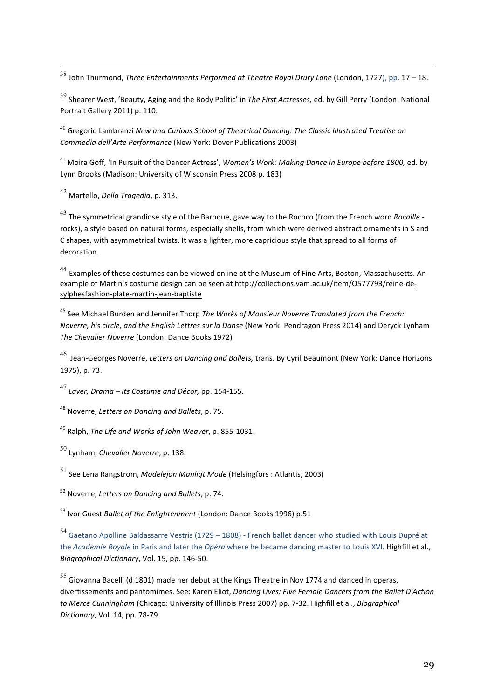38 John Thurmond, *Three Entertainments Performed at Theatre Royal Drury Lane* (London, 1727), pp. <sup>17</sup> – 18. 

<sup>39</sup> Shearer West, 'Beauty, Aging and the Body Politic' in *The First Actresses,* ed. by Gill Perry (London: National Portrait Gallery 2011) p. 110.

<sup>40</sup> Gregorio Lambranzi *New and Curious School of Theatrical Dancing: The Classic Illustrated Treatise on Commedia dell'Arte Performance* (New York: Dover Publications 2003)

<sup>41</sup> Moira Goff, 'In Pursuit of the Dancer Actress', *Women's Work: Making Dance in Europe before 1800,* ed. by Lynn Brooks (Madison: University of Wisconsin Press 2008 p. 183)

<sup>42</sup> Martello, *Della Tragedia*, p. 313.

<sup>43</sup> The symmetrical grandiose style of the Baroque, gave way to the Rococo (from the French word *Rocaille* rocks), a style based on natural forms, especially shells, from which were derived abstract ornaments in S and C shapes, with asymmetrical twists. It was a lighter, more capricious style that spread to all forms of decoration.

<sup>44</sup> Examples of these costumes can be viewed online at the Museum of Fine Arts, Boston, Massachusetts. An example of Martin's costume design can be seen at http://collections.vam.ac.uk/item/O577793/reine-desylphesfashion-plate-martin-jean-baptiste

<sup>45</sup> See Michael Burden and Jennifer Thorp *The Works of Monsieur Noverre Translated from the French: Noverre, his circle, and the English Lettres sur la Danse* (New York: Pendragon Press 2014) and Deryck Lynham *The Chevalier Noverre* (London: Dance Books 1972)

<sup>46</sup> Jean-Georges Noverre, *Letters on Dancing and Ballets,* trans. By Cyril Beaumont (New York: Dance Horizons 1975), p. 73.

<sup>47</sup> *Laver, Drama – Its Costume and Décor,* pp. 154-155.

<sup>48</sup> Noverre, *Letters on Dancing and Ballets*, p. 75.

<sup>49</sup> Ralph, *The Life and Works of John Weaver*, p. 855-1031.

<sup>50</sup> Lynham, *Chevalier Noverre*, p. 138.

<sup>51</sup> See Lena Rangstrom, *Modelejon Manligt Mode* (Helsingfors : Atlantis, 2003)

<sup>52</sup> Noverre, *Letters on Dancing and Ballets*, p. 74.

<sup>53</sup> Ivor Guest *Ballet of the Enlightenment* (London: Dance Books 1996) p.51

<sup>54</sup> Gaetano Apolline Baldassarre Vestris (1729 – 1808) - French ballet dancer who studied with Louis Dupré at the *Academie Royale* in Paris and later the *Opéra* where he became dancing master to Louis XVI. Highfill et al., *Biographical Dictionary*, Vol. 15, pp. 146-50.

<sup>55</sup> Giovanna Bacelli (d 1801) made her debut at the Kings Theatre in Nov <sup>1774</sup> and danced in operas, divertissements and pantomimes. See: Karen Eliot, *Dancing Lives: Five Female Dancers from the Ballet D'Action to Merce Cunningham* (Chicago: University of Illinois Press 2007) pp. 7-32. Highfill et al., *Biographical Dictionary*, Vol. 14, pp. 78-79.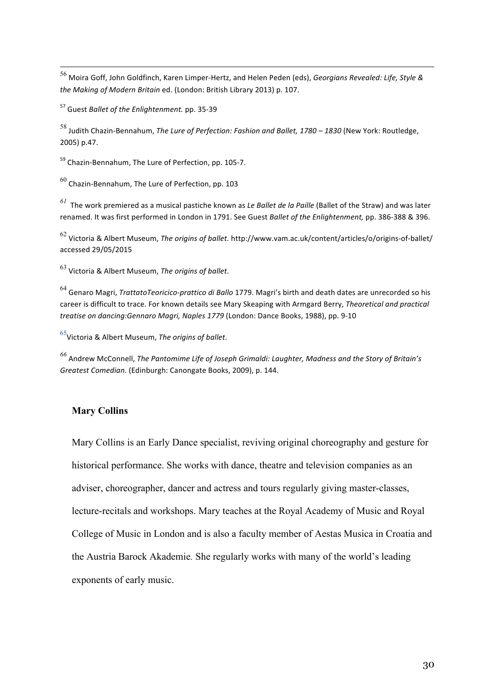56 Moira Goff, John Goldfinch, Karen Limper-Hertz, and Helen Peden (eds), *Georgians Revealed: Life, Style & the Making of Modern Britain* ed. (London: British Library 2013) p. 107.

<sup>57</sup> Guest *Ballet of the Enlightenment.* pp. 35-39

<sup>58</sup> Judith Chazin-Bennahum, *The Lure of Perfection: Fashion and Ballet, <sup>1780</sup> – <sup>1830</sup>* (New York: Routledge, 2005) p.47.

<sup>59</sup> Chazin-Bennahum, The Lure of Perfection, pp. 105-7.

 $^{60}$  Chazin-Bennahum, The Lure of Perfection, pp. 103

*<sup>61</sup>* The work premiered as <sup>a</sup> musical pastiche known as *Le Ballet de la Paille* (Ballet of the Straw) and was later renamed. It was first performed in London in 1791. See Guest *Ballet of the Enlightenment,* pp. 386-388 & 396.

<sup>62</sup> Victoria & Albert Museum, *The origins of ballet.* http://www.vam.ac.uk/content/articles/o/origins-of-ballet/ accessed 29/05/2015

<sup>63</sup> Victoria & Albert Museum, *The origins of ballet*.

<sup>64</sup> Genaro Magri, *TrattatoTeoricico-prattico di Ballo* 1779. Magri's birth and death dates are unrecorded so his career is difficult to trace. For known details see Mary Skeaping with Armgard Berry, *Theoretical and practical treatise on dancing:Gennaro Magri, Naples 1779* (London: Dance Books, 1988), pp. 9-10

<sup>65</sup>Victoria & Albert Museum, *The origins of ballet*.

*<sup>66</sup>* Andrew McConnell, *The Pantomime Life of Joseph Grimaldi: Laughter, Madness and the Story of Britain's Greatest Comedian.* (Edinburgh: Canongate Books, 2009), p. 144.

## **Mary Collins**

Mary Collins is an Early Dance specialist, reviving original choreography and gesture for historical performance. She works with dance, theatre and television companies as an adviser, choreographer, dancer and actress and tours regularly giving master-classes, lecture-recitals and workshops. Mary teaches at the Royal Academy of Music and Royal College of Music in London and is also a faculty member of Aestas Musica in Croatia and the Austria Barock Akademie*.* She regularly works with many of the world's leading exponents of early music.